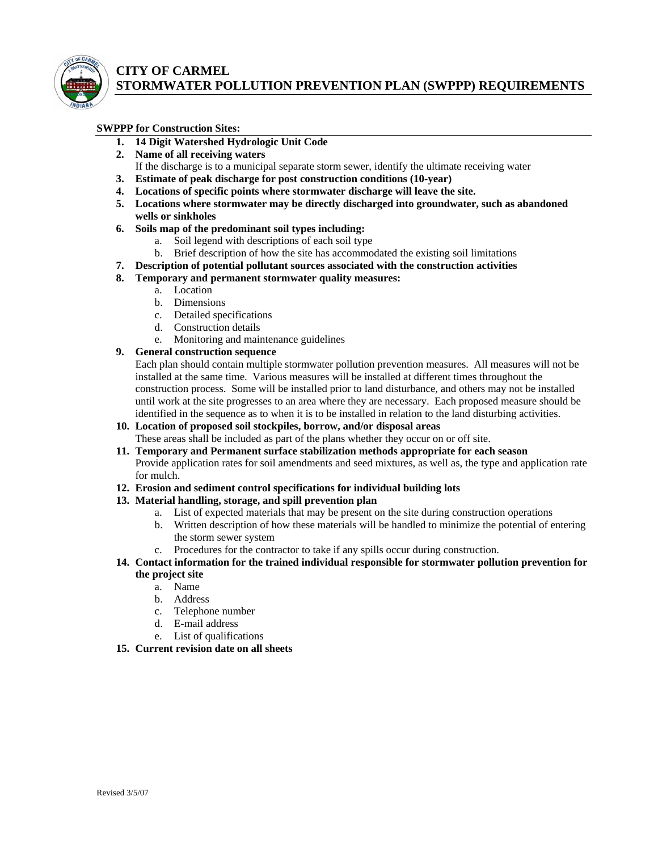

# **CITY OF CARMEL STORMWATER POLLUTION PREVENTION PLAN (SWPPP) REQUIREMENTS**

#### **SWPPP for Construction Sites:**

- **1. 14 Digit Watershed Hydrologic Unit Code**
- **2. Name of all receiving waters**
- If the discharge is to a municipal separate storm sewer, identify the ultimate receiving water
- **3. Estimate of peak discharge for post construction conditions (10-year)**
- **4. Locations of specific points where stormwater discharge will leave the site.**
- **5. Locations where stormwater may be directly discharged into groundwater, such as abandoned wells or sinkholes**
- **6. Soils map of the predominant soil types including:** 
	- a. Soil legend with descriptions of each soil type
	- b. Brief description of how the site has accommodated the existing soil limitations
- **7. Description of potential pollutant sources associated with the construction activities**
- **8. Temporary and permanent stormwater quality measures:** 
	- a. Location
	- b. Dimensions
	- c. Detailed specifications
	- d. Construction details
	- e. Monitoring and maintenance guidelines

### **9. General construction sequence**

Each plan should contain multiple stormwater pollution prevention measures. All measures will not be installed at the same time. Various measures will be installed at different times throughout the construction process. Some will be installed prior to land disturbance, and others may not be installed until work at the site progresses to an area where they are necessary. Each proposed measure should be identified in the sequence as to when it is to be installed in relation to the land disturbing activities.

- **10. Location of proposed soil stockpiles, borrow, and/or disposal areas**  These areas shall be included as part of the plans whether they occur on or off site.
- **11. Temporary and Permanent surface stabilization methods appropriate for each season**  Provide application rates for soil amendments and seed mixtures, as well as, the type and application rate for mulch.

#### **12. Erosion and sediment control specifications for individual building lots**

- **13. Material handling, storage, and spill prevention plan** 
	- a. List of expected materials that may be present on the site during construction operations
	- b. Written description of how these materials will be handled to minimize the potential of entering the storm sewer system
	- c. Procedures for the contractor to take if any spills occur during construction.
- **14. Contact information for the trained individual responsible for stormwater pollution prevention for the project site** 
	- a. Name
	- b. Address
	- c. Telephone number
	- d. E-mail address
	- e. List of qualifications
- **15. Current revision date on all sheets**